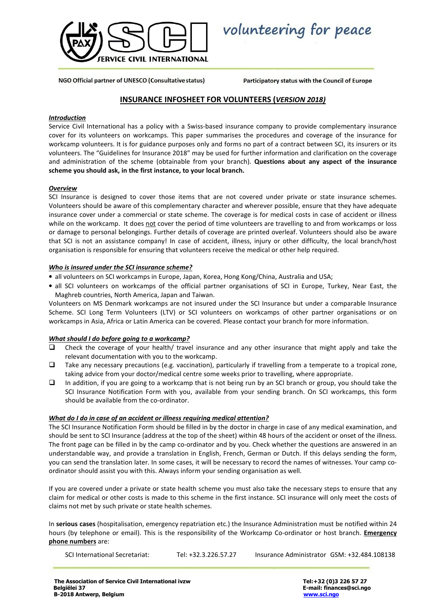

volunteering for peace

NGO Official partner of UNESCO (Consultative status)

Participatory status with the Council of Europe

## INSURANCE INFOSHEET FOR VOLUNTEERS (VERSION 2018)

### Introduction

Service Civil International has a policy with a Swiss-based insurance company to provide complementary insurance cover for its volunteers on workcamps. This paper summarises the procedures and coverage of the insurance for workcamp volunteers. It is for guidance purposes only and forms no part of a contract between SCI, its insurers or its volunteers. The "Guidelines for Insurance 2018" may be used for further information and clarification on the coverage and administration of the scheme (obtainable from your branch). Questions about any aspect of the insurance scheme you should ask, in the first instance, to your local branch.

### **Overview**

SCI Insurance is designed to cover those items that are not covered under private or state insurance schemes. Volunteers should be aware of this complementary character and wherever possible, ensure that they have adequate insurance cover under a commercial or state scheme. The coverage is for medical costs in case of accident or illness while on the workcamp. It does not cover the period of time volunteers are travelling to and from workcamps or loss or damage to personal belongings. Further details of coverage are printed overleaf. Volunteers should also be aware that SCI is not an assistance company! In case of accident, illness, injury or other difficulty, the local branch/host organisation is responsible for ensuring that volunteers receive the medical or other help required.

### Who is insured under the SCI insurance scheme?

- all volunteers on SCI workcamps in Europe, Japan, Korea, Hong Kong/China, Australia and USA;
- all SCI volunteers on workcamps of the official partner organisations of SCI in Europe, Turkey, Near East, the Maghreb countries, North America, Japan and Taiwan.

Volunteers on MS Denmark workcamps are not insured under the SCI Insurance but under a comparable Insurance Scheme. SCI Long Term Volunteers (LTV) or SCI volunteers on workcamps of other partner organisations or on workcamps in Asia, Africa or Latin America can be covered. Please contact your branch for more information.

## What should I do before going to a workcamp?

- $\Box$  Check the coverage of your health/ travel insurance and any other insurance that might apply and take the relevant documentation with you to the workcamp.
- Take any necessary precautions (e.g. vaccination), particularly if travelling from a temperate to a tropical zone, taking advice from your doctor/medical centre some weeks prior to travelling, where appropriate.
- In addition, if you are going to a workcamp that is not being run by an SCI branch or group, you should take the SCI Insurance Notification Form with you, available from your sending branch. On SCI workcamps, this form should be available from the co-ordinator.

## What do I do in case of an accident or illness requiring medical attention?

The SCI Insurance Notification Form should be filled in by the doctor in charge in case of any medical examination, and should be sent to SCI Insurance (address at the top of the sheet) within 48 hours of the accident or onset of the illness. The front page can be filled in by the camp co-ordinator and by you. Check whether the questions are answered in an understandable way, and provide a translation in English, French, German or Dutch. If this delays sending the form, you can send the translation later. In some cases, it will be necessary to record the names of witnesses. Your camp coordinator should assist you with this. Always inform your sending organisation as well.

If you are covered under a private or state health scheme you must also take the necessary steps to ensure that any claim for medical or other costs is made to this scheme in the first instance. SCI insurance will only meet the costs of claims not met by such private or state health schemes.

In serious cases (hospitalisation, emergency repatriation etc.) the Insurance Administration must be notified within 24 hours (by telephone or email). This is the responsibility of the Workcamp Co-ordinator or host branch. Emergency phone numbers are:

SCI International Secretariat: Tel: +32.3.226.57.27 Insurance Administrator GSM: +32.484.108138